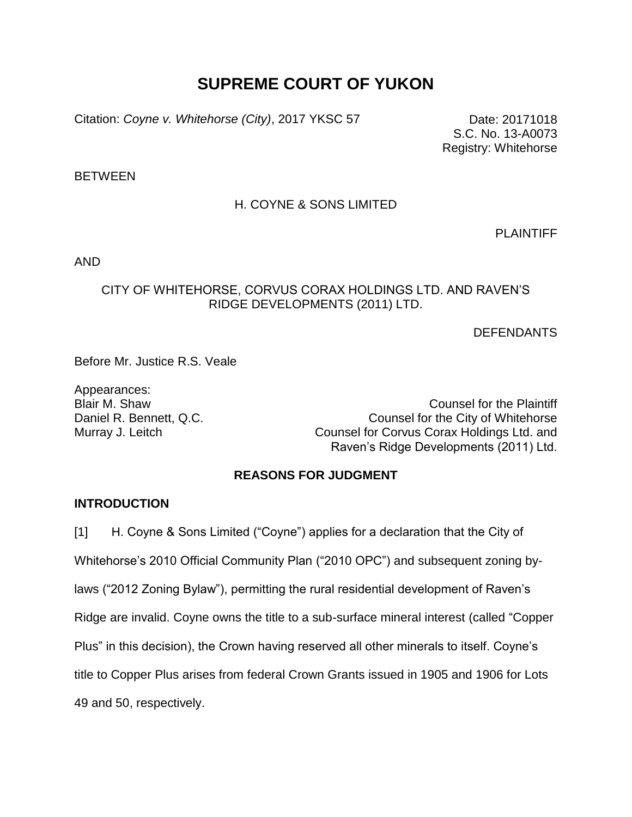## **SUPREME COURT OF YUKON**

Citation: *Coyne v. Whitehorse (City)*, 2017 YKSC 57 Date: 20171018

S.C. No. 13-A0073 Registry: Whitehorse

**BETWEEN** 

## H. COYNE & SONS LIMITED

PLAINTIFF

AND

#### CITY OF WHITEHORSE, CORVUS CORAX HOLDINGS LTD. AND RAVEN'S RIDGE DEVELOPMENTS (2011) LTD.

DEFENDANTS

Before Mr. Justice R.S. Veale

Appearances:

Blair M. Shaw Counsel for the Plaintiff Daniel R. Bennett, Q.C. **Counsel Following Counsel for the City of Whitehorse** Murray J. Leitch Counsel for Corvus Corax Holdings Ltd. and Raven's Ridge Developments (2011) Ltd.

## **REASONS FOR JUDGMENT**

#### **INTRODUCTION**

[1] H. Coyne & Sons Limited ("Coyne") applies for a declaration that the City of Whitehorse's 2010 Official Community Plan ("2010 OPC") and subsequent zoning bylaws ("2012 Zoning Bylaw"), permitting the rural residential development of Raven's Ridge are invalid. Coyne owns the title to a sub-surface mineral interest (called "Copper Plus" in this decision), the Crown having reserved all other minerals to itself. Coyne's title to Copper Plus arises from federal Crown Grants issued in 1905 and 1906 for Lots 49 and 50, respectively.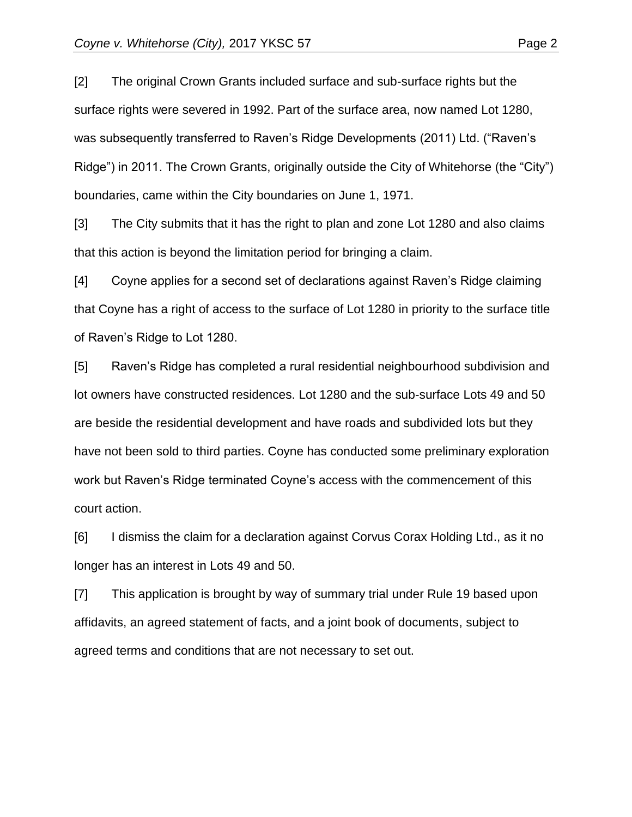[2] The original Crown Grants included surface and sub-surface rights but the surface rights were severed in 1992. Part of the surface area, now named Lot 1280, was subsequently transferred to Raven's Ridge Developments (2011) Ltd. ("Raven's Ridge") in 2011. The Crown Grants, originally outside the City of Whitehorse (the "City") boundaries, came within the City boundaries on June 1, 1971.

[3] The City submits that it has the right to plan and zone Lot 1280 and also claims that this action is beyond the limitation period for bringing a claim.

[4] Coyne applies for a second set of declarations against Raven's Ridge claiming that Coyne has a right of access to the surface of Lot 1280 in priority to the surface title of Raven's Ridge to Lot 1280.

[5] Raven's Ridge has completed a rural residential neighbourhood subdivision and lot owners have constructed residences. Lot 1280 and the sub-surface Lots 49 and 50 are beside the residential development and have roads and subdivided lots but they have not been sold to third parties. Coyne has conducted some preliminary exploration work but Raven's Ridge terminated Coyne's access with the commencement of this court action.

[6] I dismiss the claim for a declaration against Corvus Corax Holding Ltd., as it no longer has an interest in Lots 49 and 50.

[7] This application is brought by way of summary trial under Rule 19 based upon affidavits, an agreed statement of facts, and a joint book of documents, subject to agreed terms and conditions that are not necessary to set out.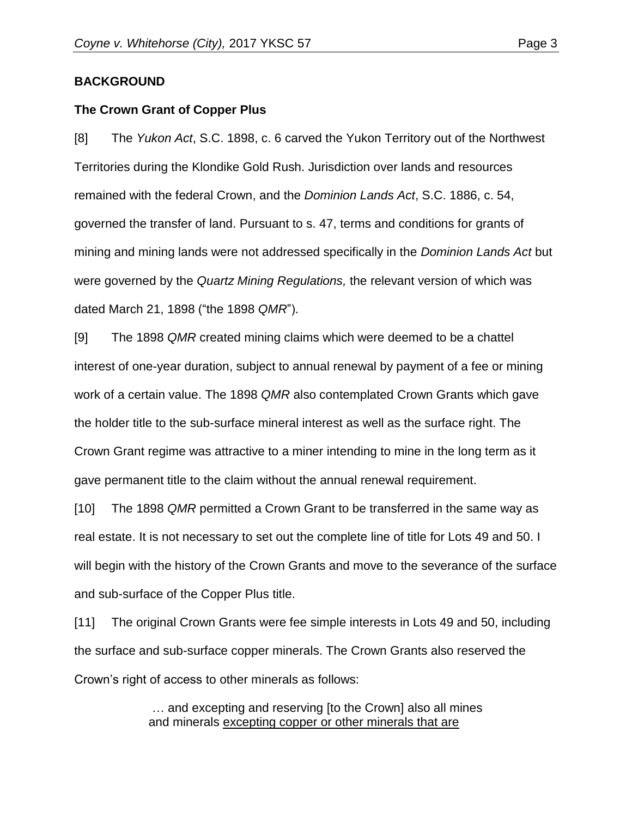#### **BACKGROUND**

#### **The Crown Grant of Copper Plus**

[8] The *Yukon Act*, S.C. 1898, c. 6 carved the Yukon Territory out of the Northwest Territories during the Klondike Gold Rush. Jurisdiction over lands and resources remained with the federal Crown, and the *Dominion Lands Act*, S.C. 1886, c. 54, governed the transfer of land. Pursuant to s. 47, terms and conditions for grants of mining and mining lands were not addressed specifically in the *Dominion Lands Act* but were governed by the *Quartz Mining Regulations,* the relevant version of which was dated March 21, 1898 ("the 1898 *QMR*").

[9] The 1898 *QMR* created mining claims which were deemed to be a chattel interest of one-year duration, subject to annual renewal by payment of a fee or mining work of a certain value. The 1898 *QMR* also contemplated Crown Grants which gave the holder title to the sub-surface mineral interest as well as the surface right. The Crown Grant regime was attractive to a miner intending to mine in the long term as it gave permanent title to the claim without the annual renewal requirement.

[10] The 1898 *QMR* permitted a Crown Grant to be transferred in the same way as real estate. It is not necessary to set out the complete line of title for Lots 49 and 50. I will begin with the history of the Crown Grants and move to the severance of the surface and sub-surface of the Copper Plus title.

[11] The original Crown Grants were fee simple interests in Lots 49 and 50, including the surface and sub-surface copper minerals. The Crown Grants also reserved the Crown's right of access to other minerals as follows:

> … and excepting and reserving [to the Crown] also all mines and minerals excepting copper or other minerals that are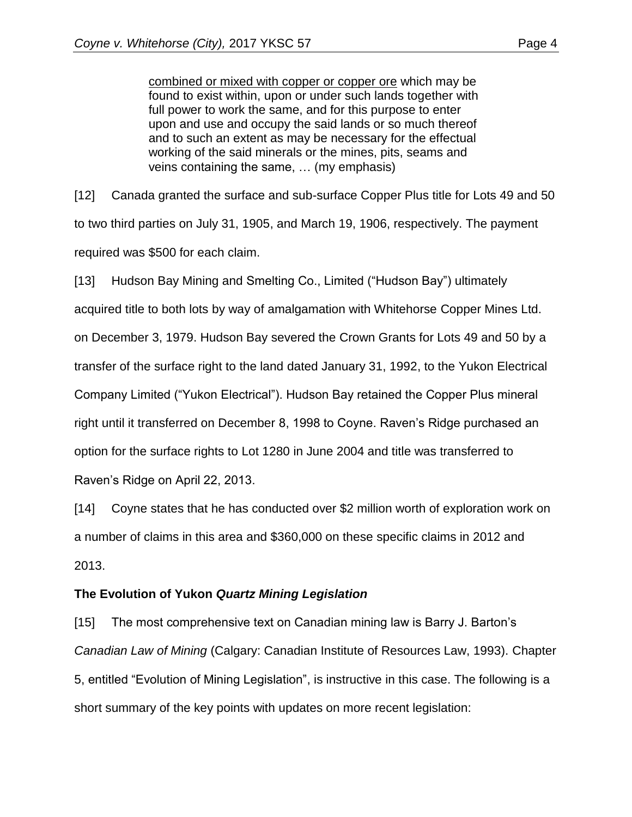combined or mixed with copper or copper ore which may be found to exist within, upon or under such lands together with full power to work the same, and for this purpose to enter upon and use and occupy the said lands or so much thereof and to such an extent as may be necessary for the effectual working of the said minerals or the mines, pits, seams and veins containing the same, … (my emphasis)

[12] Canada granted the surface and sub-surface Copper Plus title for Lots 49 and 50 to two third parties on July 31, 1905, and March 19, 1906, respectively. The payment required was \$500 for each claim.

[13] Hudson Bay Mining and Smelting Co., Limited ("Hudson Bay") ultimately

acquired title to both lots by way of amalgamation with Whitehorse Copper Mines Ltd.

on December 3, 1979. Hudson Bay severed the Crown Grants for Lots 49 and 50 by a

transfer of the surface right to the land dated January 31, 1992, to the Yukon Electrical

Company Limited ("Yukon Electrical"). Hudson Bay retained the Copper Plus mineral

right until it transferred on December 8, 1998 to Coyne. Raven's Ridge purchased an

option for the surface rights to Lot 1280 in June 2004 and title was transferred to

Raven's Ridge on April 22, 2013.

[14] Coyne states that he has conducted over \$2 million worth of exploration work on a number of claims in this area and \$360,000 on these specific claims in 2012 and 2013.

#### **The Evolution of Yukon** *Quartz Mining Legislation*

[15] The most comprehensive text on Canadian mining law is Barry J. Barton's *Canadian Law of Mining* (Calgary: Canadian Institute of Resources Law, 1993). Chapter 5, entitled "Evolution of Mining Legislation", is instructive in this case. The following is a short summary of the key points with updates on more recent legislation: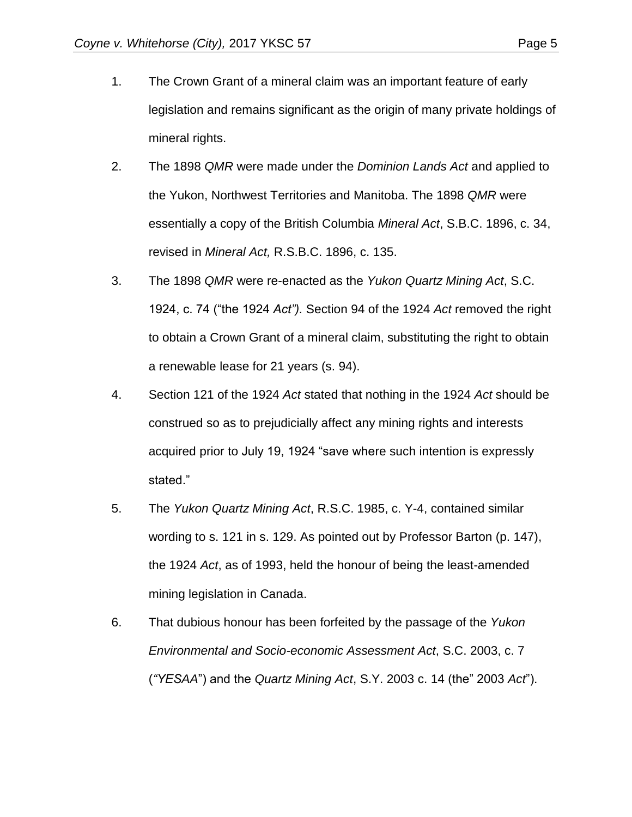- 1. The Crown Grant of a mineral claim was an important feature of early legislation and remains significant as the origin of many private holdings of mineral rights.
- 2. The 1898 *QMR* were made under the *Dominion Lands Act* and applied to the Yukon, Northwest Territories and Manitoba. The 1898 *QMR* were essentially a copy of the British Columbia *Mineral Act*, S.B.C. 1896, c. 34, revised in *Mineral Act,* R.S.B.C. 1896, c. 135.
- 3. The 1898 *QMR* were re-enacted as the *Yukon Quartz Mining Act*, S.C. 1924, c. 74 ("the 1924 *Act").* Section 94 of the 1924 *Act* removed the right to obtain a Crown Grant of a mineral claim, substituting the right to obtain a renewable lease for 21 years (s. 94).
- 4. Section 121 of the 1924 *Act* stated that nothing in the 1924 *Act* should be construed so as to prejudicially affect any mining rights and interests acquired prior to July 19, 1924 "save where such intention is expressly stated."
- 5. The *Yukon Quartz Mining Act*, R.S.C. 1985, c. Y-4, contained similar wording to s. 121 in s. 129. As pointed out by Professor Barton (p. 147), the 1924 *Act*, as of 1993, held the honour of being the least-amended mining legislation in Canada.
- 6. That dubious honour has been forfeited by the passage of the *Yukon Environmental and Socio-economic Assessment Act*, S.C. 2003, c. 7 (*"YESAA*") and the *Quartz Mining Act*, S.Y. 2003 c. 14 (the" 2003 *Act*").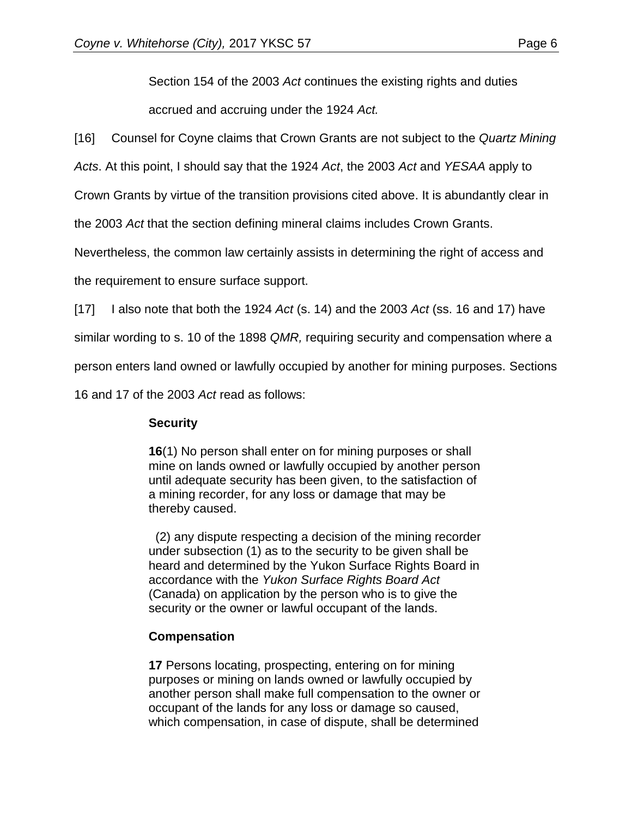Section 154 of the 2003 *Act* continues the existing rights and duties accrued and accruing under the 1924 *Act.*

[16] Counsel for Coyne claims that Crown Grants are not subject to the *Quartz Mining* 

*Acts*. At this point, I should say that the 1924 *Act*, the 2003 *Act* and *YESAA* apply to

Crown Grants by virtue of the transition provisions cited above. It is abundantly clear in

the 2003 *Act* that the section defining mineral claims includes Crown Grants.

Nevertheless, the common law certainly assists in determining the right of access and

the requirement to ensure surface support.

[17] I also note that both the 1924 *Act* (s. 14) and the 2003 *Act* (ss. 16 and 17) have

similar wording to s. 10 of the 1898 *QMR,* requiring security and compensation where a

person enters land owned or lawfully occupied by another for mining purposes. Sections

16 and 17 of the 2003 *Act* read as follows:

#### **Security**

**16**(1) No person shall enter on for mining purposes or shall mine on lands owned or lawfully occupied by another person until adequate security has been given, to the satisfaction of a mining recorder, for any loss or damage that may be thereby caused.

 (2) any dispute respecting a decision of the mining recorder under subsection (1) as to the security to be given shall be heard and determined by the Yukon Surface Rights Board in accordance with the *Yukon Surface Rights Board Act*  (Canada) on application by the person who is to give the security or the owner or lawful occupant of the lands.

#### **Compensation**

**17** Persons locating, prospecting, entering on for mining purposes or mining on lands owned or lawfully occupied by another person shall make full compensation to the owner or occupant of the lands for any loss or damage so caused, which compensation, in case of dispute, shall be determined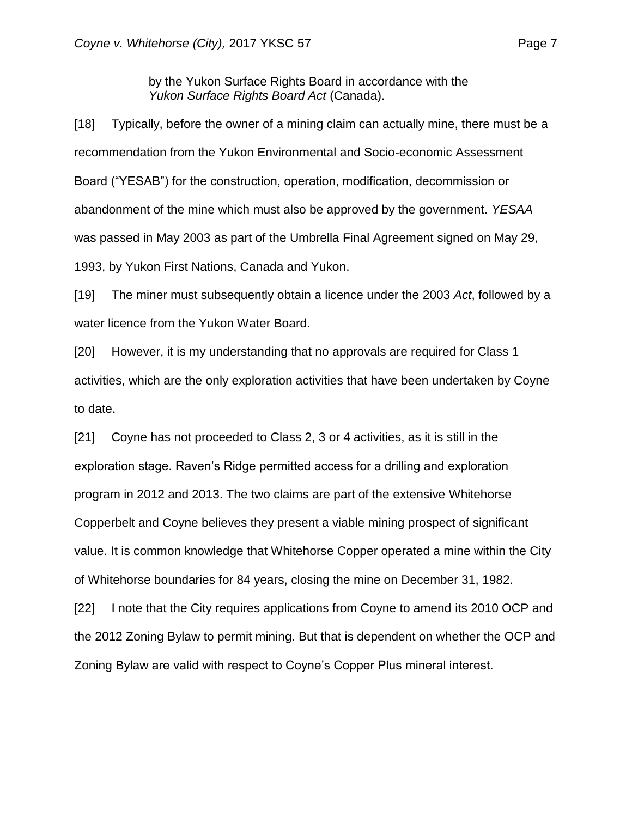by the Yukon Surface Rights Board in accordance with the *Yukon Surface Rights Board Act* (Canada).

[18] Typically, before the owner of a mining claim can actually mine, there must be a recommendation from the Yukon Environmental and Socio-economic Assessment Board ("YESAB") for the construction, operation, modification, decommission or abandonment of the mine which must also be approved by the government. *YESAA*  was passed in May 2003 as part of the Umbrella Final Agreement signed on May 29, 1993, by Yukon First Nations, Canada and Yukon.

[19] The miner must subsequently obtain a licence under the 2003 *Act*, followed by a water licence from the Yukon Water Board.

[20] However, it is my understanding that no approvals are required for Class 1 activities, which are the only exploration activities that have been undertaken by Coyne to date.

[21] Coyne has not proceeded to Class 2, 3 or 4 activities, as it is still in the exploration stage. Raven's Ridge permitted access for a drilling and exploration program in 2012 and 2013. The two claims are part of the extensive Whitehorse Copperbelt and Coyne believes they present a viable mining prospect of significant value. It is common knowledge that Whitehorse Copper operated a mine within the City of Whitehorse boundaries for 84 years, closing the mine on December 31, 1982.

[22] I note that the City requires applications from Coyne to amend its 2010 OCP and the 2012 Zoning Bylaw to permit mining. But that is dependent on whether the OCP and Zoning Bylaw are valid with respect to Coyne's Copper Plus mineral interest.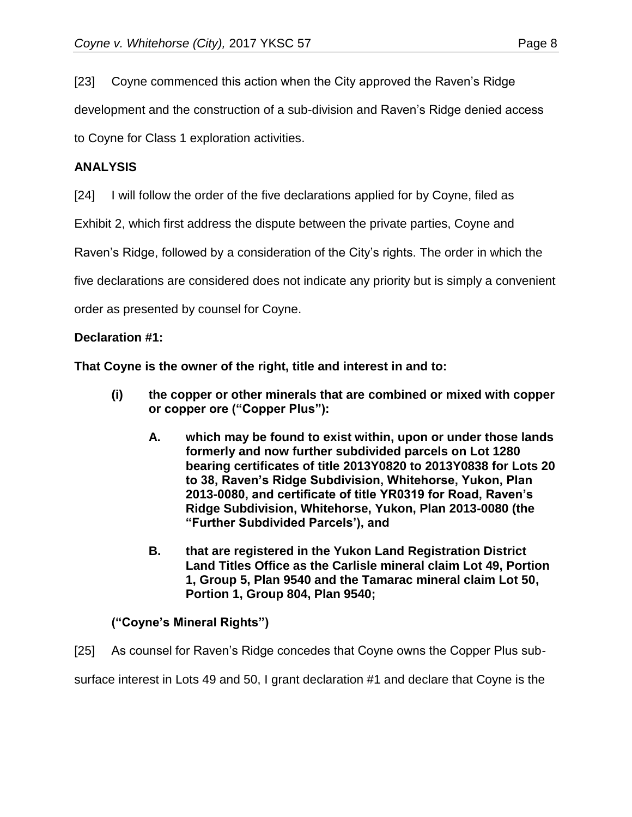[23] Coyne commenced this action when the City approved the Raven's Ridge

development and the construction of a sub-division and Raven's Ridge denied access

to Coyne for Class 1 exploration activities.

## **ANALYSIS**

[24] I will follow the order of the five declarations applied for by Coyne, filed as

Exhibit 2, which first address the dispute between the private parties, Coyne and

Raven's Ridge, followed by a consideration of the City's rights. The order in which the

five declarations are considered does not indicate any priority but is simply a convenient

order as presented by counsel for Coyne.

## **Declaration #1:**

**That Coyne is the owner of the right, title and interest in and to:**

- **(i) the copper or other minerals that are combined or mixed with copper or copper ore ("Copper Plus"):**
	- **A. which may be found to exist within, upon or under those lands formerly and now further subdivided parcels on Lot 1280 bearing certificates of title 2013Y0820 to 2013Y0838 for Lots 20 to 38, Raven's Ridge Subdivision, Whitehorse, Yukon, Plan 2013-0080, and certificate of title YR0319 for Road, Raven's Ridge Subdivision, Whitehorse, Yukon, Plan 2013-0080 (the "Further Subdivided Parcels'), and**
	- **B. that are registered in the Yukon Land Registration District Land Titles Office as the Carlisle mineral claim Lot 49, Portion 1, Group 5, Plan 9540 and the Tamarac mineral claim Lot 50, Portion 1, Group 804, Plan 9540;**

## **("Coyne's Mineral Rights")**

[25] As counsel for Raven's Ridge concedes that Coyne owns the Copper Plus sub-

surface interest in Lots 49 and 50, I grant declaration #1 and declare that Coyne is the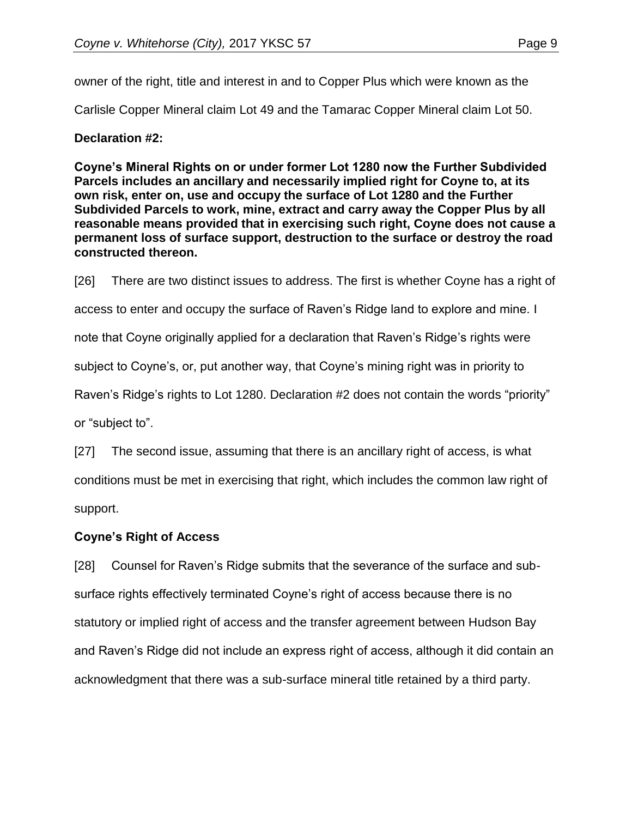owner of the right, title and interest in and to Copper Plus which were known as the

Carlisle Copper Mineral claim Lot 49 and the Tamarac Copper Mineral claim Lot 50.

#### **Declaration #2:**

**Coyne's Mineral Rights on or under former Lot 1280 now the Further Subdivided Parcels includes an ancillary and necessarily implied right for Coyne to, at its own risk, enter on, use and occupy the surface of Lot 1280 and the Further Subdivided Parcels to work, mine, extract and carry away the Copper Plus by all reasonable means provided that in exercising such right, Coyne does not cause a permanent loss of surface support, destruction to the surface or destroy the road constructed thereon.**

[26] There are two distinct issues to address. The first is whether Coyne has a right of access to enter and occupy the surface of Raven's Ridge land to explore and mine. I note that Coyne originally applied for a declaration that Raven's Ridge's rights were subject to Coyne's, or, put another way, that Coyne's mining right was in priority to Raven's Ridge's rights to Lot 1280. Declaration #2 does not contain the words "priority" or "subject to".

[27] The second issue, assuming that there is an ancillary right of access, is what conditions must be met in exercising that right, which includes the common law right of support.

## **Coyne's Right of Access**

[28] Counsel for Raven's Ridge submits that the severance of the surface and subsurface rights effectively terminated Coyne's right of access because there is no statutory or implied right of access and the transfer agreement between Hudson Bay and Raven's Ridge did not include an express right of access, although it did contain an acknowledgment that there was a sub-surface mineral title retained by a third party.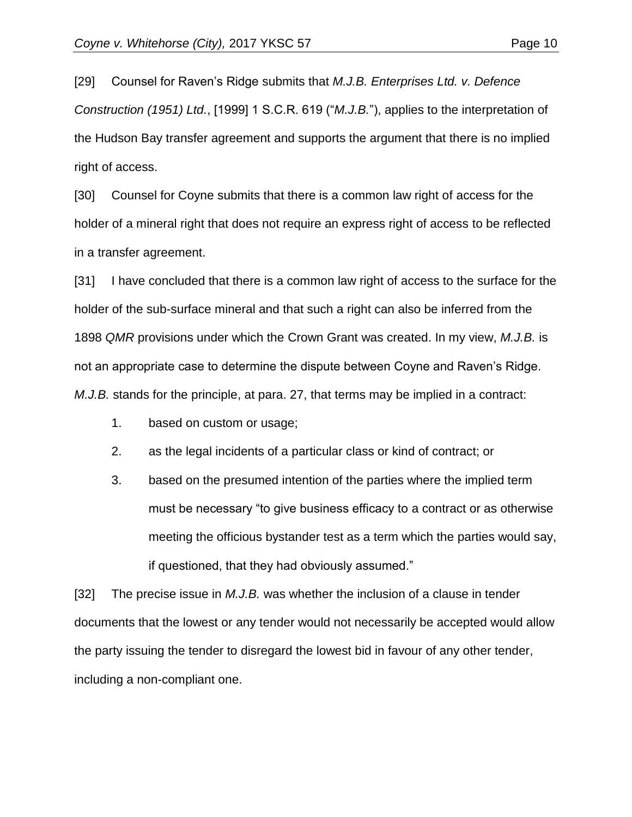[29] Counsel for Raven's Ridge submits that *M.J.B. Enterprises Ltd. v. Defence Construction (1951) Ltd.*, [1999] 1 S.C.R. 619 ("*M.J.B.*"), applies to the interpretation of the Hudson Bay transfer agreement and supports the argument that there is no implied right of access.

[30] Counsel for Coyne submits that there is a common law right of access for the holder of a mineral right that does not require an express right of access to be reflected in a transfer agreement.

[31] I have concluded that there is a common law right of access to the surface for the holder of the sub-surface mineral and that such a right can also be inferred from the 1898 *QMR* provisions under which the Crown Grant was created. In my view, *M.J.B.* is not an appropriate case to determine the dispute between Coyne and Raven's Ridge. *M.J.B.* stands for the principle, at para. 27, that terms may be implied in a contract:

- 1. based on custom or usage;
- 2. as the legal incidents of a particular class or kind of contract; or
- 3. based on the presumed intention of the parties where the implied term must be necessary "to give business efficacy to a contract or as otherwise meeting the officious bystander test as a term which the parties would say, if questioned, that they had obviously assumed."

[32] The precise issue in *M.J.B.* was whether the inclusion of a clause in tender documents that the lowest or any tender would not necessarily be accepted would allow the party issuing the tender to disregard the lowest bid in favour of any other tender, including a non-compliant one.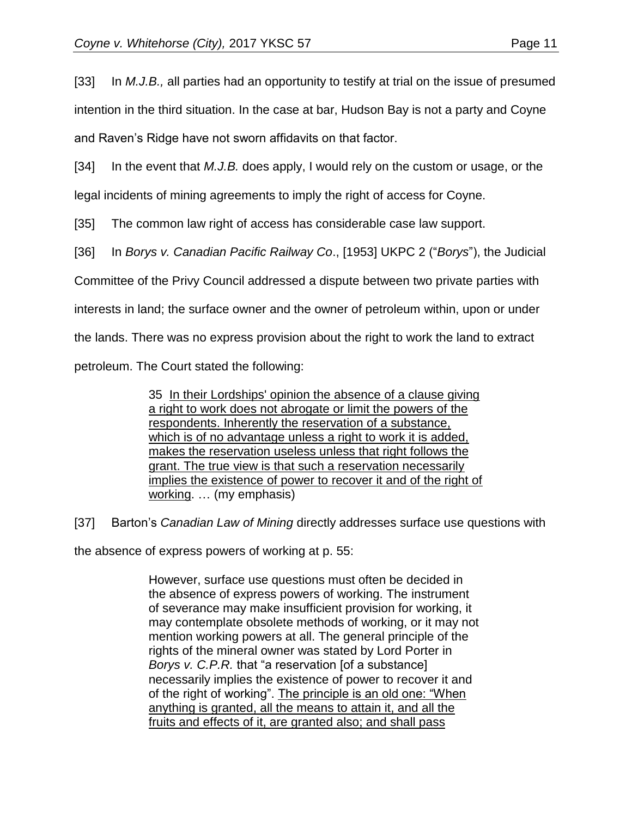[33] In *M.J.B.,* all parties had an opportunity to testify at trial on the issue of presumed intention in the third situation. In the case at bar, Hudson Bay is not a party and Coyne and Raven's Ridge have not sworn affidavits on that factor.

[34] In the event that *M.J.B.* does apply, I would rely on the custom or usage, or the legal incidents of mining agreements to imply the right of access for Coyne.

[35] The common law right of access has considerable case law support.

[36] In *Borys v. Canadian Pacific Railway Co*., [1953] UKPC 2 ("*Borys*"), the Judicial

Committee of the Privy Council addressed a dispute between two private parties with

interests in land; the surface owner and the owner of petroleum within, upon or under

the lands. There was no express provision about the right to work the land to extract

petroleum. The Court stated the following:

35 In their Lordships' opinion the absence of a clause giving a right to work does not abrogate or limit the powers of the respondents. Inherently the reservation of a substance, which is of no advantage unless a right to work it is added, makes the reservation useless unless that right follows the grant. The true view is that such a reservation necessarily implies the existence of power to recover it and of the right of working. … (my emphasis)

[37] Barton's *Canadian Law of Mining* directly addresses surface use questions with

the absence of express powers of working at p. 55:

However, surface use questions must often be decided in the absence of express powers of working. The instrument of severance may make insufficient provision for working, it may contemplate obsolete methods of working, or it may not mention working powers at all. The general principle of the rights of the mineral owner was stated by Lord Porter in *Borys v. C.P.R.* that "a reservation [of a substance] necessarily implies the existence of power to recover it and of the right of working". The principle is an old one: "When anything is granted, all the means to attain it, and all the fruits and effects of it, are granted also; and shall pass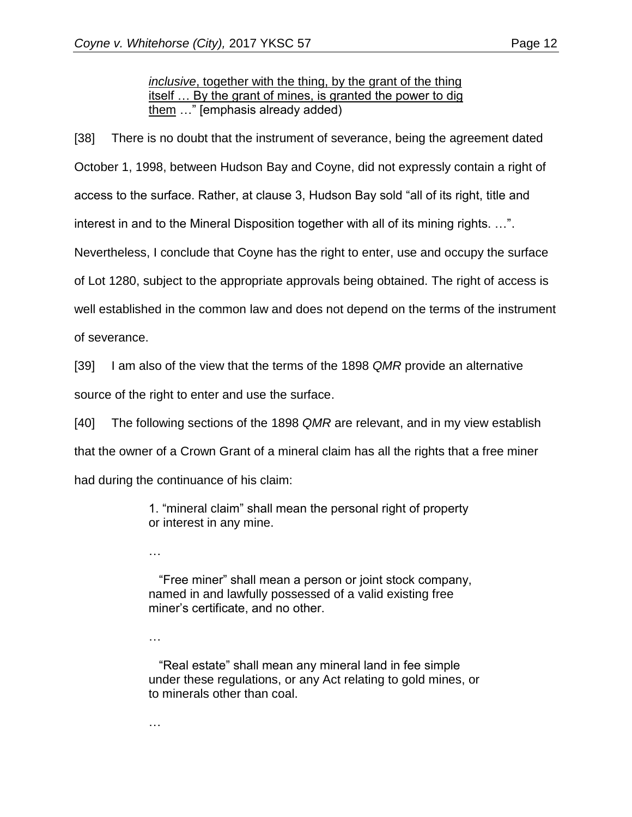*inclusive*, together with the thing, by the grant of the thing itself … By the grant of mines, is granted the power to dig them …" [emphasis already added)

[38] There is no doubt that the instrument of severance, being the agreement dated October 1, 1998, between Hudson Bay and Coyne, did not expressly contain a right of access to the surface. Rather, at clause 3, Hudson Bay sold "all of its right, title and interest in and to the Mineral Disposition together with all of its mining rights. …". Nevertheless, I conclude that Coyne has the right to enter, use and occupy the surface of Lot 1280, subject to the appropriate approvals being obtained. The right of access is well established in the common law and does not depend on the terms of the instrument of severance.

[39] I am also of the view that the terms of the 1898 *QMR* provide an alternative source of the right to enter and use the surface.

[40] The following sections of the 1898 *QMR* are relevant, and in my view establish that the owner of a Crown Grant of a mineral claim has all the rights that a free miner had during the continuance of his claim:

> 1. "mineral claim" shall mean the personal right of property or interest in any mine.

…

 "Free miner" shall mean a person or joint stock company, named in and lawfully possessed of a valid existing free miner's certificate, and no other.

…

 "Real estate" shall mean any mineral land in fee simple under these regulations, or any Act relating to gold mines, or to minerals other than coal.

…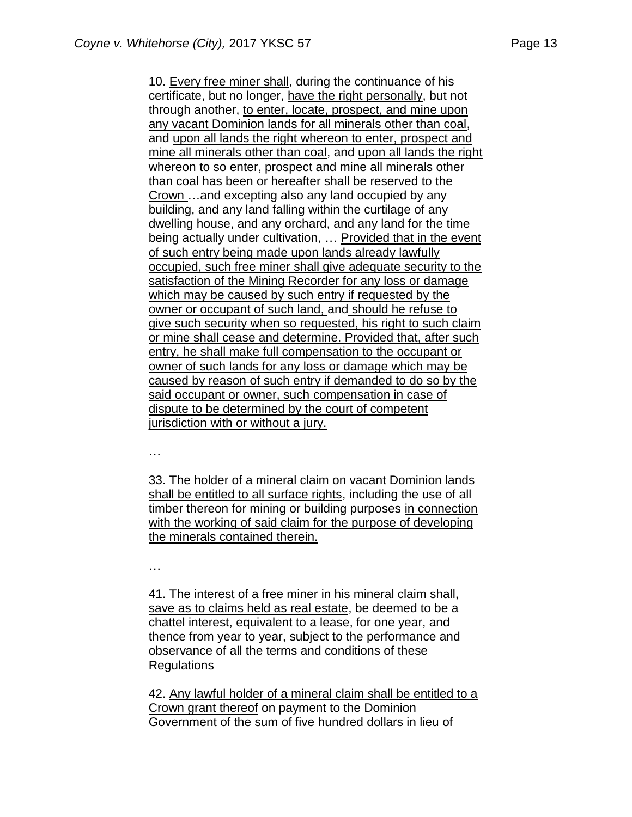10. Every free miner shall, during the continuance of his certificate, but no longer, have the right personally, but not through another, to enter, locate, prospect, and mine upon any vacant Dominion lands for all minerals other than coal, and upon all lands the right whereon to enter, prospect and mine all minerals other than coal, and upon all lands the right whereon to so enter, prospect and mine all minerals other than coal has been or hereafter shall be reserved to the Crown …and excepting also any land occupied by any building, and any land falling within the curtilage of any dwelling house, and any orchard, and any land for the time being actually under cultivation, … Provided that in the event of such entry being made upon lands already lawfully occupied, such free miner shall give adequate security to the satisfaction of the Mining Recorder for any loss or damage which may be caused by such entry if requested by the owner or occupant of such land, and should he refuse to give such security when so requested, his right to such claim or mine shall cease and determine. Provided that, after such entry, he shall make full compensation to the occupant or owner of such lands for any loss or damage which may be caused by reason of such entry if demanded to do so by the said occupant or owner, such compensation in case of dispute to be determined by the court of competent jurisdiction with or without a jury.

…

33. The holder of a mineral claim on vacant Dominion lands shall be entitled to all surface rights, including the use of all timber thereon for mining or building purposes in connection with the working of said claim for the purpose of developing the minerals contained therein.

…

41. The interest of a free miner in his mineral claim shall, save as to claims held as real estate, be deemed to be a chattel interest, equivalent to a lease, for one year, and thence from year to year, subject to the performance and observance of all the terms and conditions of these **Regulations** 

42. Any lawful holder of a mineral claim shall be entitled to a Crown grant thereof on payment to the Dominion Government of the sum of five hundred dollars in lieu of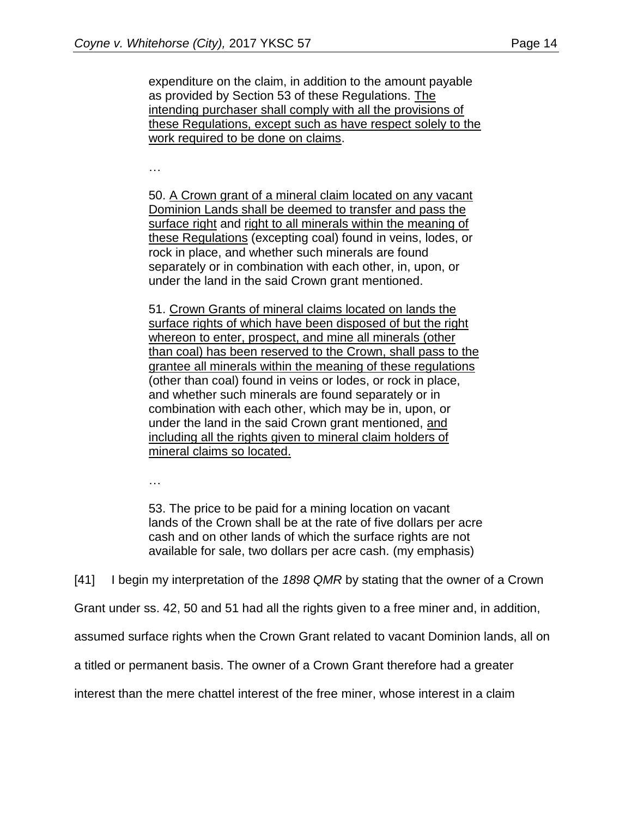expenditure on the claim, in addition to the amount payable as provided by Section 53 of these Regulations. The intending purchaser shall comply with all the provisions of these Regulations, except such as have respect solely to the work required to be done on claims.

…

50. A Crown grant of a mineral claim located on any vacant Dominion Lands shall be deemed to transfer and pass the surface right and right to all minerals within the meaning of these Regulations (excepting coal) found in veins, lodes, or rock in place, and whether such minerals are found separately or in combination with each other, in, upon, or under the land in the said Crown grant mentioned.

51. Crown Grants of mineral claims located on lands the surface rights of which have been disposed of but the right whereon to enter, prospect, and mine all minerals (other than coal) has been reserved to the Crown, shall pass to the grantee all minerals within the meaning of these regulations (other than coal) found in veins or lodes, or rock in place, and whether such minerals are found separately or in combination with each other, which may be in, upon, or under the land in the said Crown grant mentioned, and including all the rights given to mineral claim holders of mineral claims so located.

…

53. The price to be paid for a mining location on vacant lands of the Crown shall be at the rate of five dollars per acre cash and on other lands of which the surface rights are not available for sale, two dollars per acre cash. (my emphasis)

[41] I begin my interpretation of the *1898 QMR* by stating that the owner of a Crown

Grant under ss. 42, 50 and 51 had all the rights given to a free miner and, in addition,

assumed surface rights when the Crown Grant related to vacant Dominion lands, all on

a titled or permanent basis. The owner of a Crown Grant therefore had a greater

interest than the mere chattel interest of the free miner, whose interest in a claim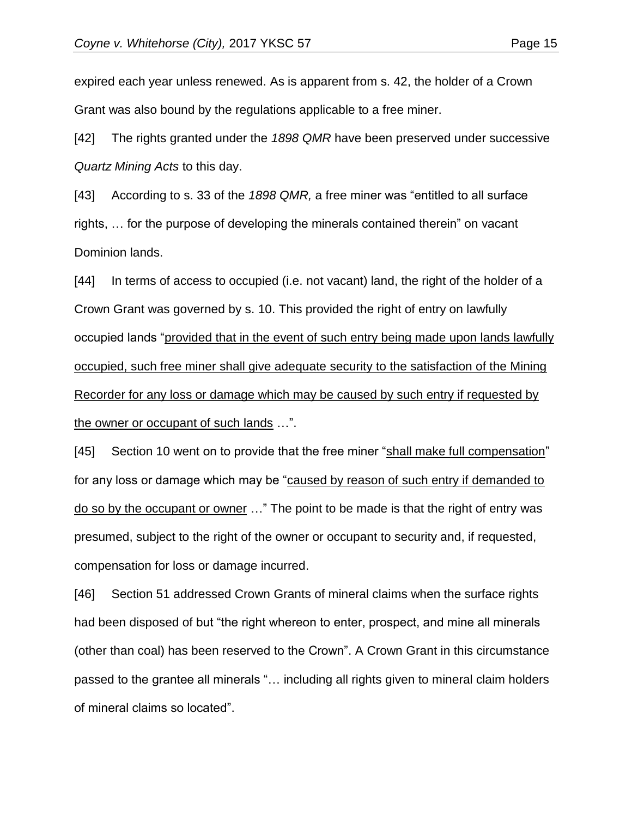expired each year unless renewed. As is apparent from s. 42, the holder of a Crown Grant was also bound by the regulations applicable to a free miner.

[42] The rights granted under the *1898 QMR* have been preserved under successive *Quartz Mining Acts* to this day.

[43] According to s. 33 of the *1898 QMR,* a free miner was "entitled to all surface rights, … for the purpose of developing the minerals contained therein" on vacant Dominion lands.

[44] In terms of access to occupied (i.e. not vacant) land, the right of the holder of a Crown Grant was governed by s. 10. This provided the right of entry on lawfully occupied lands "provided that in the event of such entry being made upon lands lawfully occupied, such free miner shall give adequate security to the satisfaction of the Mining Recorder for any loss or damage which may be caused by such entry if requested by the owner or occupant of such lands …".

[45] Section 10 went on to provide that the free miner "shall make full compensation" for any loss or damage which may be "caused by reason of such entry if demanded to do so by the occupant or owner …" The point to be made is that the right of entry was presumed, subject to the right of the owner or occupant to security and, if requested, compensation for loss or damage incurred.

[46] Section 51 addressed Crown Grants of mineral claims when the surface rights had been disposed of but "the right whereon to enter, prospect, and mine all minerals (other than coal) has been reserved to the Crown". A Crown Grant in this circumstance passed to the grantee all minerals "… including all rights given to mineral claim holders of mineral claims so located".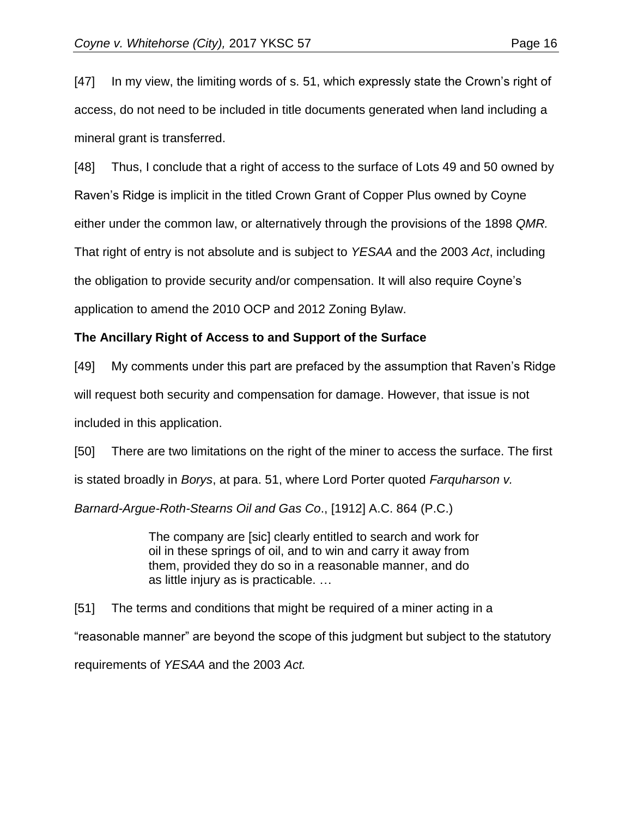[47] In my view, the limiting words of s. 51, which expressly state the Crown's right of access, do not need to be included in title documents generated when land including a mineral grant is transferred.

[48] Thus, I conclude that a right of access to the surface of Lots 49 and 50 owned by Raven's Ridge is implicit in the titled Crown Grant of Copper Plus owned by Coyne either under the common law, or alternatively through the provisions of the 1898 *QMR.* That right of entry is not absolute and is subject to *YESAA* and the 2003 *Act*, including the obligation to provide security and/or compensation. It will also require Coyne's application to amend the 2010 OCP and 2012 Zoning Bylaw.

#### **The Ancillary Right of Access to and Support of the Surface**

[49] My comments under this part are prefaced by the assumption that Raven's Ridge will request both security and compensation for damage. However, that issue is not included in this application.

[50] There are two limitations on the right of the miner to access the surface. The first is stated broadly in *Borys*, at para. 51, where Lord Porter quoted *Farquharson v.* 

*Barnard-Argue-Roth-Stearns Oil and Gas Co*., [1912] A.C. 864 (P.C.)

The company are [sic] clearly entitled to search and work for oil in these springs of oil, and to win and carry it away from them, provided they do so in a reasonable manner, and do as little injury as is practicable. …

[51] The terms and conditions that might be required of a miner acting in a "reasonable manner" are beyond the scope of this judgment but subject to the statutory requirements of *YESAA* and the 2003 *Act.*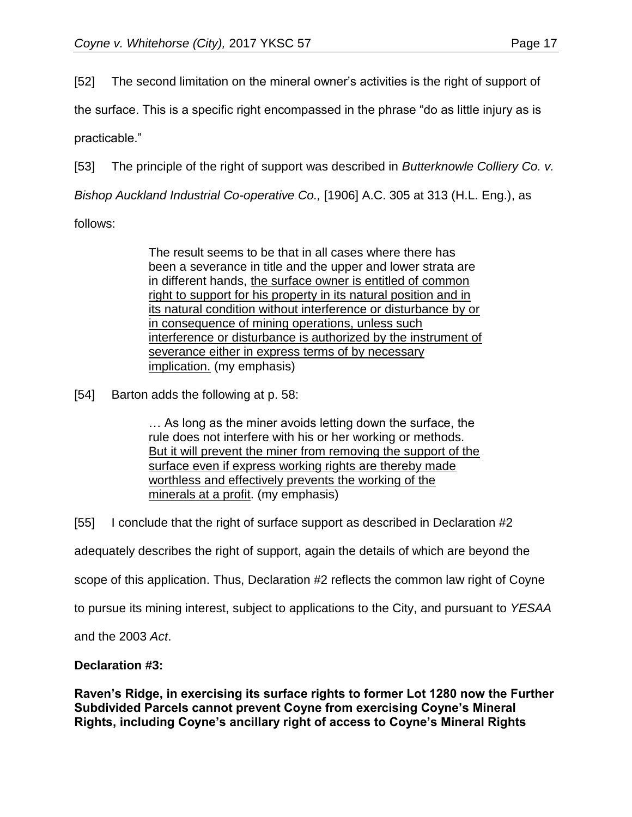[52] The second limitation on the mineral owner's activities is the right of support of

the surface. This is a specific right encompassed in the phrase "do as little injury as is

practicable."

[53] The principle of the right of support was described in *Butterknowle Colliery Co. v.* 

*Bishop Auckland Industrial Co-operative Co.,* [1906] A.C. 305 at 313 (H.L. Eng.), as

follows:

The result seems to be that in all cases where there has been a severance in title and the upper and lower strata are in different hands, the surface owner is entitled of common right to support for his property in its natural position and in its natural condition without interference or disturbance by or in consequence of mining operations, unless such interference or disturbance is authorized by the instrument of severance either in express terms of by necessary implication. (my emphasis)

[54] Barton adds the following at p. 58:

… As long as the miner avoids letting down the surface, the rule does not interfere with his or her working or methods. But it will prevent the miner from removing the support of the surface even if express working rights are thereby made worthless and effectively prevents the working of the minerals at a profit. (my emphasis)

[55] I conclude that the right of surface support as described in Declaration #2

adequately describes the right of support, again the details of which are beyond the

scope of this application. Thus, Declaration #2 reflects the common law right of Coyne

to pursue its mining interest, subject to applications to the City, and pursuant to *YESAA* 

and the 2003 *Act*.

## **Declaration #3:**

**Raven's Ridge, in exercising its surface rights to former Lot 1280 now the Further Subdivided Parcels cannot prevent Coyne from exercising Coyne's Mineral Rights, including Coyne's ancillary right of access to Coyne's Mineral Rights**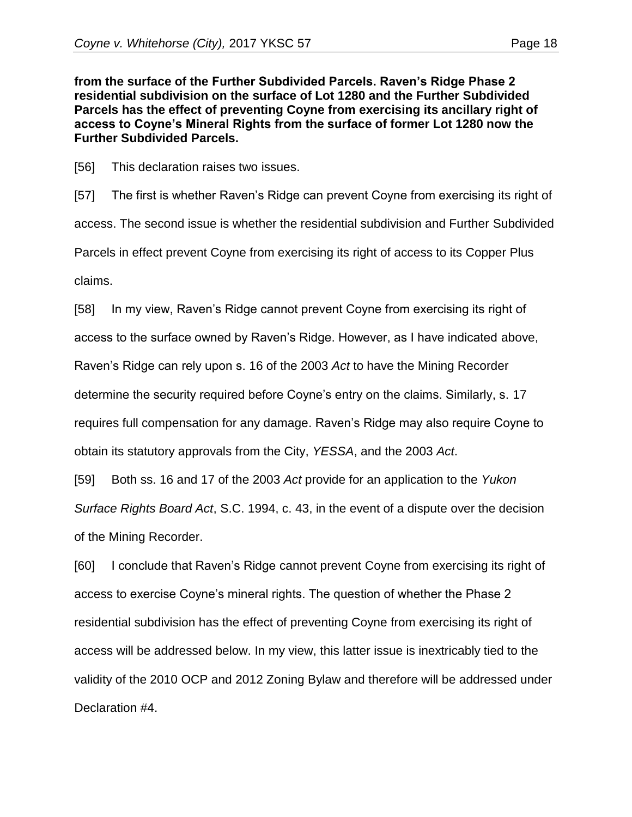**from the surface of the Further Subdivided Parcels. Raven's Ridge Phase 2 residential subdivision on the surface of Lot 1280 and the Further Subdivided Parcels has the effect of preventing Coyne from exercising its ancillary right of access to Coyne's Mineral Rights from the surface of former Lot 1280 now the Further Subdivided Parcels.**

[56] This declaration raises two issues.

[57] The first is whether Raven's Ridge can prevent Coyne from exercising its right of access. The second issue is whether the residential subdivision and Further Subdivided Parcels in effect prevent Coyne from exercising its right of access to its Copper Plus claims.

[58] In my view, Raven's Ridge cannot prevent Coyne from exercising its right of access to the surface owned by Raven's Ridge. However, as I have indicated above, Raven's Ridge can rely upon s. 16 of the 2003 *Act* to have the Mining Recorder determine the security required before Coyne's entry on the claims. Similarly, s. 17 requires full compensation for any damage. Raven's Ridge may also require Coyne to obtain its statutory approvals from the City, *YESSA*, and the 2003 *Act*.

[59] Both ss. 16 and 17 of the 2003 *Act* provide for an application to the *Yukon Surface Rights Board Act*, S.C. 1994, c. 43, in the event of a dispute over the decision of the Mining Recorder.

[60] I conclude that Raven's Ridge cannot prevent Coyne from exercising its right of access to exercise Coyne's mineral rights. The question of whether the Phase 2 residential subdivision has the effect of preventing Coyne from exercising its right of access will be addressed below. In my view, this latter issue is inextricably tied to the validity of the 2010 OCP and 2012 Zoning Bylaw and therefore will be addressed under Declaration #4.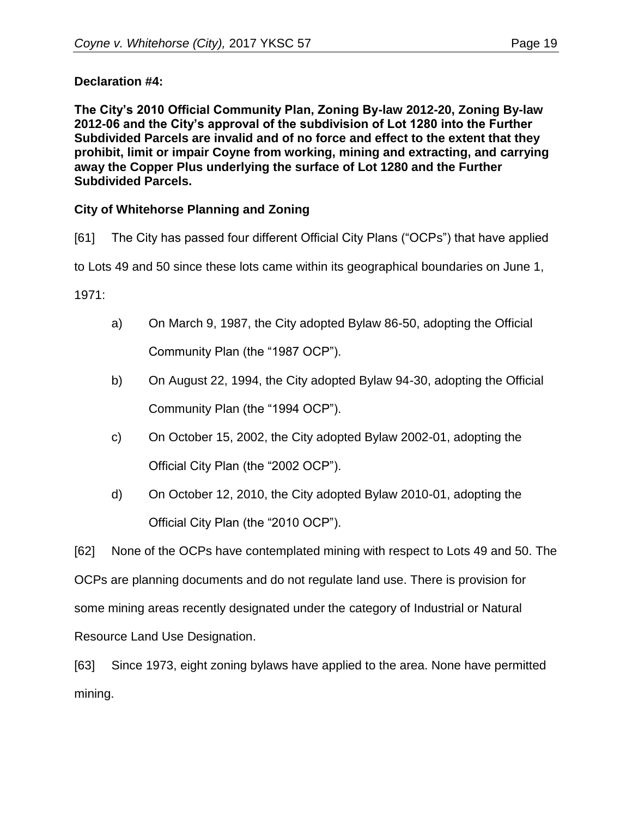#### **Declaration #4:**

**The City's 2010 Official Community Plan, Zoning By-law 2012-20, Zoning By-law 2012-06 and the City's approval of the subdivision of Lot 1280 into the Further Subdivided Parcels are invalid and of no force and effect to the extent that they prohibit, limit or impair Coyne from working, mining and extracting, and carrying away the Copper Plus underlying the surface of Lot 1280 and the Further Subdivided Parcels.**

#### **City of Whitehorse Planning and Zoning**

[61] The City has passed four different Official City Plans ("OCPs") that have applied

to Lots 49 and 50 since these lots came within its geographical boundaries on June 1,

1971:

- a) On March 9, 1987, the City adopted Bylaw 86-50, adopting the Official Community Plan (the "1987 OCP").
- b) On August 22, 1994, the City adopted Bylaw 94-30, adopting the Official Community Plan (the "1994 OCP").
- c) On October 15, 2002, the City adopted Bylaw 2002-01, adopting the Official City Plan (the "2002 OCP").
- d) On October 12, 2010, the City adopted Bylaw 2010-01, adopting the Official City Plan (the "2010 OCP").

[62] None of the OCPs have contemplated mining with respect to Lots 49 and 50. The OCPs are planning documents and do not regulate land use. There is provision for some mining areas recently designated under the category of Industrial or Natural Resource Land Use Designation.

[63] Since 1973, eight zoning bylaws have applied to the area. None have permitted mining.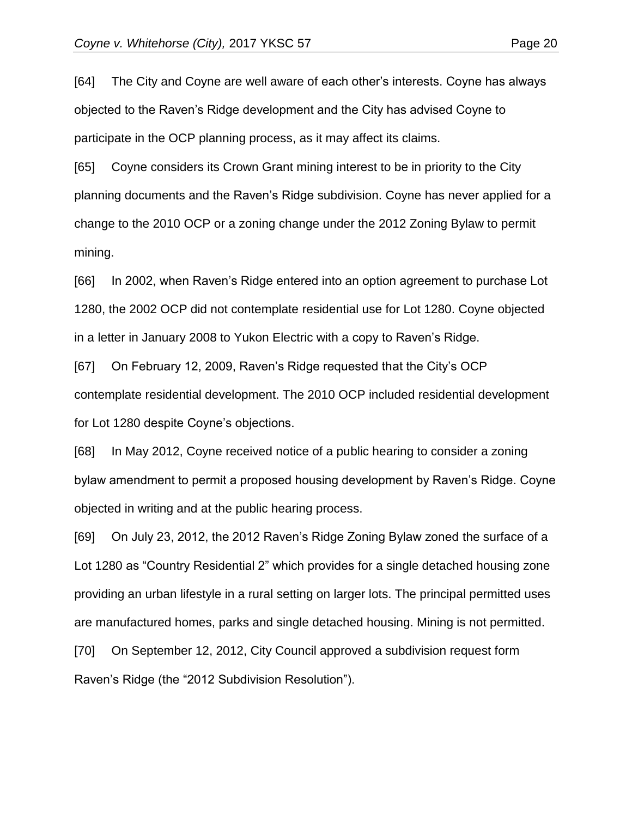[64] The City and Coyne are well aware of each other's interests. Coyne has always objected to the Raven's Ridge development and the City has advised Coyne to participate in the OCP planning process, as it may affect its claims.

[65] Coyne considers its Crown Grant mining interest to be in priority to the City planning documents and the Raven's Ridge subdivision. Coyne has never applied for a change to the 2010 OCP or a zoning change under the 2012 Zoning Bylaw to permit mining.

[66] In 2002, when Raven's Ridge entered into an option agreement to purchase Lot 1280, the 2002 OCP did not contemplate residential use for Lot 1280. Coyne objected in a letter in January 2008 to Yukon Electric with a copy to Raven's Ridge.

[67] On February 12, 2009, Raven's Ridge requested that the City's OCP contemplate residential development. The 2010 OCP included residential development for Lot 1280 despite Coyne's objections.

[68] In May 2012, Coyne received notice of a public hearing to consider a zoning bylaw amendment to permit a proposed housing development by Raven's Ridge. Coyne objected in writing and at the public hearing process.

[69] On July 23, 2012, the 2012 Raven's Ridge Zoning Bylaw zoned the surface of a Lot 1280 as "Country Residential 2" which provides for a single detached housing zone providing an urban lifestyle in a rural setting on larger lots. The principal permitted uses are manufactured homes, parks and single detached housing. Mining is not permitted.

[70] On September 12, 2012, City Council approved a subdivision request form Raven's Ridge (the "2012 Subdivision Resolution").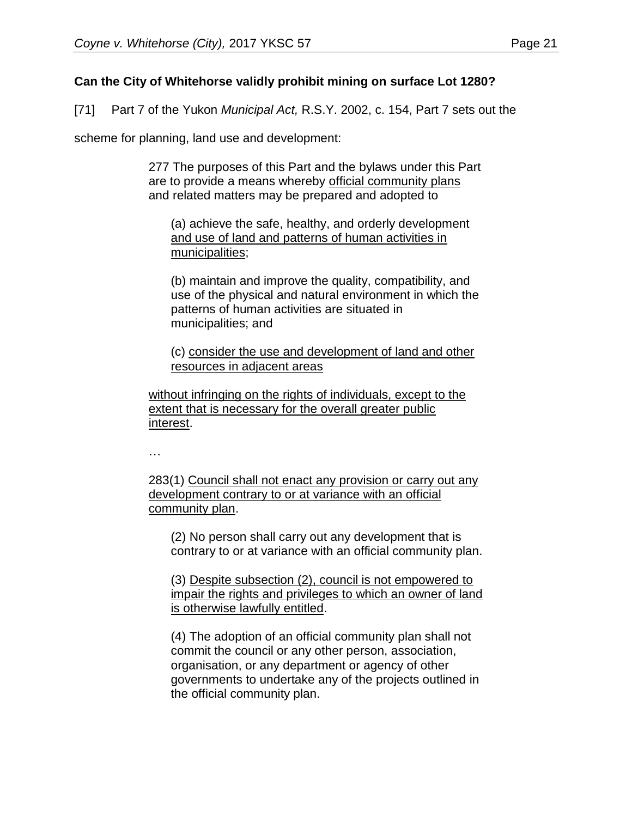#### **Can the City of Whitehorse validly prohibit mining on surface Lot 1280?**

[71] Part 7 of the Yukon *Municipal Act,* R.S.Y. 2002, c. 154, Part 7 sets out the

scheme for planning, land use and development:

277 The purposes of this Part and the bylaws under this Part are to provide a means whereby official community plans and related matters may be prepared and adopted to

(a) achieve the safe, healthy, and orderly development and use of land and patterns of human activities in municipalities;

(b) maintain and improve the quality, compatibility, and use of the physical and natural environment in which the patterns of human activities are situated in municipalities; and

(c) consider the use and development of land and other resources in adjacent areas

without infringing on the rights of individuals, except to the extent that is necessary for the overall greater public interest.

…

283(1) Council shall not enact any provision or carry out any development contrary to or at variance with an official community plan.

(2) No person shall carry out any development that is contrary to or at variance with an official community plan.

(3) Despite subsection (2), council is not empowered to impair the rights and privileges to which an owner of land is otherwise lawfully entitled.

(4) The adoption of an official community plan shall not commit the council or any other person, association, organisation, or any department or agency of other governments to undertake any of the projects outlined in the official community plan.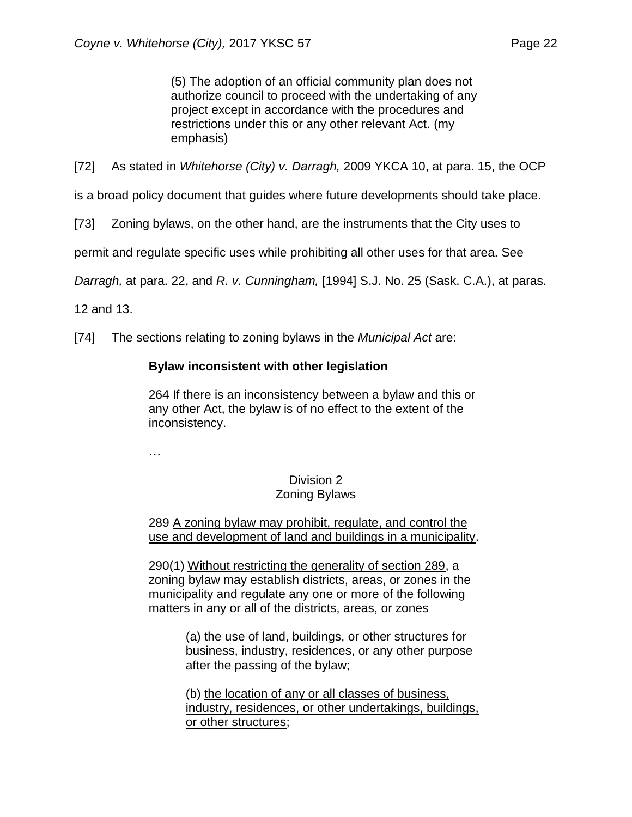(5) The adoption of an official community plan does not authorize council to proceed with the undertaking of any project except in accordance with the procedures and restrictions under this or any other relevant Act. (my emphasis)

[72] As stated in *Whitehorse (City) v. Darragh,* 2009 YKCA 10, at para. 15, the OCP

is a broad policy document that guides where future developments should take place.

[73] Zoning bylaws, on the other hand, are the instruments that the City uses to

permit and regulate specific uses while prohibiting all other uses for that area. See

*Darragh,* at para. 22, and *R. v. Cunningham,* [1994] S.J. No. 25 (Sask. C.A.), at paras.

12 and 13.

[74] The sections relating to zoning bylaws in the *Municipal Act* are:

#### **Bylaw inconsistent with other legislation**

264 If there is an inconsistency between a bylaw and this or any other Act, the bylaw is of no effect to the extent of the inconsistency.

…

#### Division 2 Zoning Bylaws

289 A zoning bylaw may prohibit, regulate, and control the use and development of land and buildings in a municipality.

290(1) Without restricting the generality of section 289, a zoning bylaw may establish districts, areas, or zones in the municipality and regulate any one or more of the following matters in any or all of the districts, areas, or zones

> (a) the use of land, buildings, or other structures for business, industry, residences, or any other purpose after the passing of the bylaw;

(b) the location of any or all classes of business, industry, residences, or other undertakings, buildings, or other structures;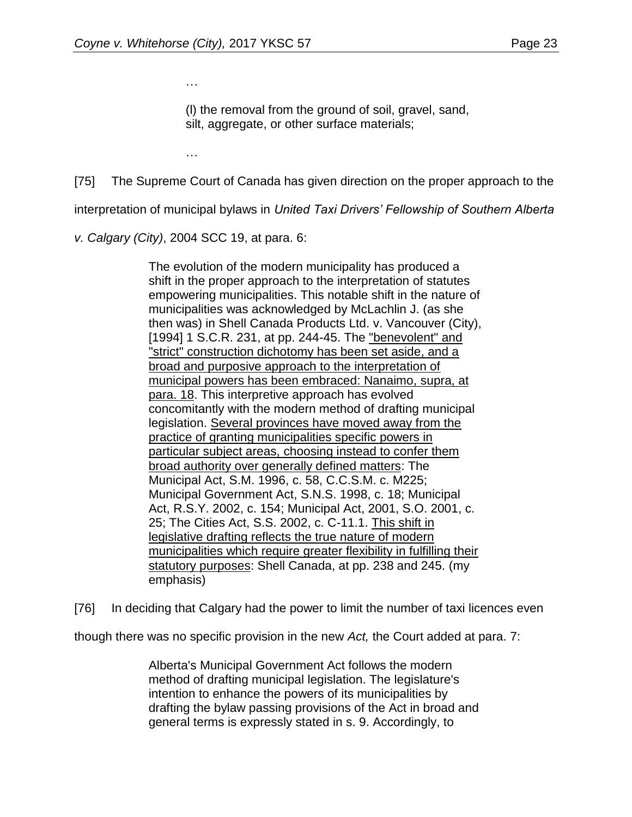…

(l) the removal from the ground of soil, gravel, sand, silt, aggregate, or other surface materials;

…

[75] The Supreme Court of Canada has given direction on the proper approach to the

interpretation of municipal bylaws in *United Taxi Drivers' Fellowship of Southern Alberta* 

*v. Calgary (City)*, 2004 SCC 19, at para. 6:

The evolution of the modern municipality has produced a shift in the proper approach to the interpretation of statutes empowering municipalities. This notable shift in the nature of municipalities was acknowledged by McLachlin J. (as she then was) in Shell Canada Products Ltd. v. Vancouver (City), [1994] 1 S.C.R. 231, at pp. 244-45. The "benevolent" and "strict" construction dichotomy has been set aside, and a broad and purposive approach to the interpretation of municipal powers has been embraced: Nanaimo, supra, at para. 18. This interpretive approach has evolved concomitantly with the modern method of drafting municipal legislation. Several provinces have moved away from the practice of granting municipalities specific powers in particular subject areas, choosing instead to confer them broad authority over generally defined matters: The Municipal Act, S.M. 1996, c. 58, C.C.S.M. c. M225; Municipal Government Act, S.N.S. 1998, c. 18; Municipal Act, R.S.Y. 2002, c. 154; Municipal Act, 2001, S.O. 2001, c. 25; The Cities Act, S.S. 2002, c. C-11.1. This shift in legislative drafting reflects the true nature of modern municipalities which require greater flexibility in fulfilling their statutory purposes: Shell Canada, at pp. 238 and 245. (my emphasis)

[76] In deciding that Calgary had the power to limit the number of taxi licences even

though there was no specific provision in the new *Act,* the Court added at para. 7:

Alberta's Municipal Government Act follows the modern method of drafting municipal legislation. The legislature's intention to enhance the powers of its municipalities by drafting the bylaw passing provisions of the Act in broad and general terms is expressly stated in s. 9. Accordingly, to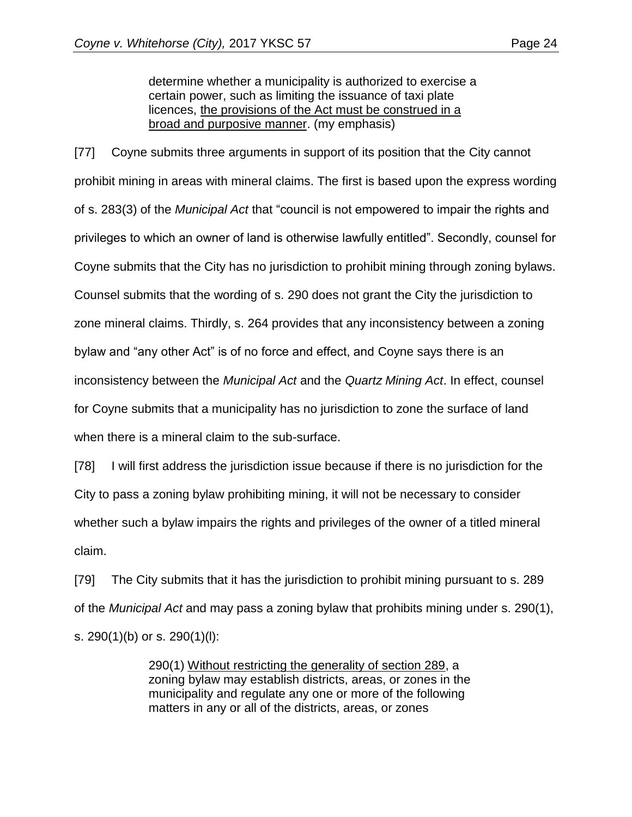determine whether a municipality is authorized to exercise a certain power, such as limiting the issuance of taxi plate licences, the provisions of the Act must be construed in a broad and purposive manner. (my emphasis)

[77] Coyne submits three arguments in support of its position that the City cannot prohibit mining in areas with mineral claims. The first is based upon the express wording of s. 283(3) of the *Municipal Act* that "council is not empowered to impair the rights and privileges to which an owner of land is otherwise lawfully entitled". Secondly, counsel for Coyne submits that the City has no jurisdiction to prohibit mining through zoning bylaws. Counsel submits that the wording of s. 290 does not grant the City the jurisdiction to zone mineral claims. Thirdly, s. 264 provides that any inconsistency between a zoning bylaw and "any other Act" is of no force and effect, and Coyne says there is an inconsistency between the *Municipal Act* and the *Quartz Mining Act*. In effect, counsel for Coyne submits that a municipality has no jurisdiction to zone the surface of land when there is a mineral claim to the sub-surface.

[78] I will first address the jurisdiction issue because if there is no jurisdiction for the City to pass a zoning bylaw prohibiting mining, it will not be necessary to consider whether such a bylaw impairs the rights and privileges of the owner of a titled mineral claim.

[79] The City submits that it has the jurisdiction to prohibit mining pursuant to s. 289 of the *Municipal Act* and may pass a zoning bylaw that prohibits mining under s. 290(1), s. 290(1)(b) or s. 290(1)(l):

> 290(1) Without restricting the generality of section 289, a zoning bylaw may establish districts, areas, or zones in the municipality and regulate any one or more of the following matters in any or all of the districts, areas, or zones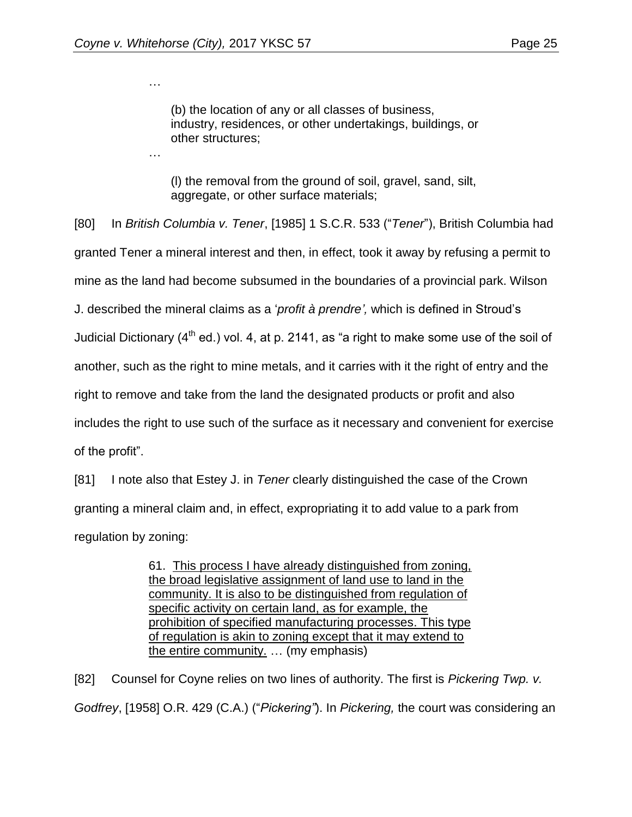…

…

(b) the location of any or all classes of business, industry, residences, or other undertakings, buildings, or other structures;

(l) the removal from the ground of soil, gravel, sand, silt, aggregate, or other surface materials;

[80] In *British Columbia v. Tener*, [1985] 1 S.C.R. 533 ("*Tener*"), British Columbia had granted Tener a mineral interest and then, in effect, took it away by refusing a permit to mine as the land had become subsumed in the boundaries of a provincial park. Wilson J. described the mineral claims as a '*profit à prendre',* which is defined in Stroud's Judicial Dictionary  $(4^{th}$  ed.) vol. 4, at p. 2141, as "a right to make some use of the soil of another, such as the right to mine metals, and it carries with it the right of entry and the right to remove and take from the land the designated products or profit and also includes the right to use such of the surface as it necessary and convenient for exercise of the profit".

[81] I note also that Estey J. in *Tener* clearly distinguished the case of the Crown granting a mineral claim and, in effect, expropriating it to add value to a park from regulation by zoning:

> 61. This process I have already distinguished from zoning, the broad legislative assignment of land use to land in the community. It is also to be distinguished from regulation of specific activity on certain land, as for example, the prohibition of specified manufacturing processes. This type of regulation is akin to zoning except that it may extend to the entire community. … (my emphasis)

[82] Counsel for Coyne relies on two lines of authority. The first is *Pickering Twp. v. Godfrey*, [1958] O.R. 429 (C.A.) ("*Pickering"*). In *Pickering,* the court was considering an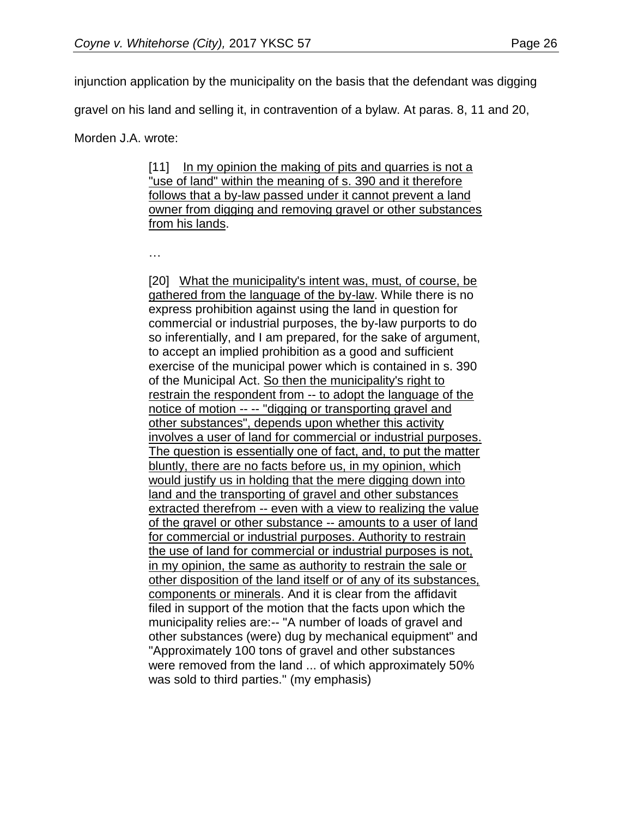injunction application by the municipality on the basis that the defendant was digging

gravel on his land and selling it, in contravention of a bylaw. At paras. 8, 11 and 20,

Morden J.A. wrote:

[11] In my opinion the making of pits and quarries is not a "use of land" within the meaning of s. 390 and it therefore follows that a by-law passed under it cannot prevent a land owner from digging and removing gravel or other substances from his lands.

…

[20] What the municipality's intent was, must, of course, be gathered from the language of the by-law. While there is no express prohibition against using the land in question for commercial or industrial purposes, the by-law purports to do so inferentially, and I am prepared, for the sake of argument, to accept an implied prohibition as a good and sufficient exercise of the municipal power which is contained in s. 390 of the Municipal Act. So then the municipality's right to restrain the respondent from -- to adopt the language of the notice of motion -- -- "digging or transporting gravel and other substances", depends upon whether this activity involves a user of land for commercial or industrial purposes. The question is essentially one of fact, and, to put the matter bluntly, there are no facts before us, in my opinion, which would justify us in holding that the mere digging down into land and the transporting of gravel and other substances extracted therefrom -- even with a view to realizing the value of the gravel or other substance -- amounts to a user of land for commercial or industrial purposes. Authority to restrain the use of land for commercial or industrial purposes is not, in my opinion, the same as authority to restrain the sale or other disposition of the land itself or of any of its substances, components or minerals. And it is clear from the affidavit filed in support of the motion that the facts upon which the municipality relies are:-- "A number of loads of gravel and other substances (were) dug by mechanical equipment" and "Approximately 100 tons of gravel and other substances were removed from the land ... of which approximately 50% was sold to third parties." (my emphasis)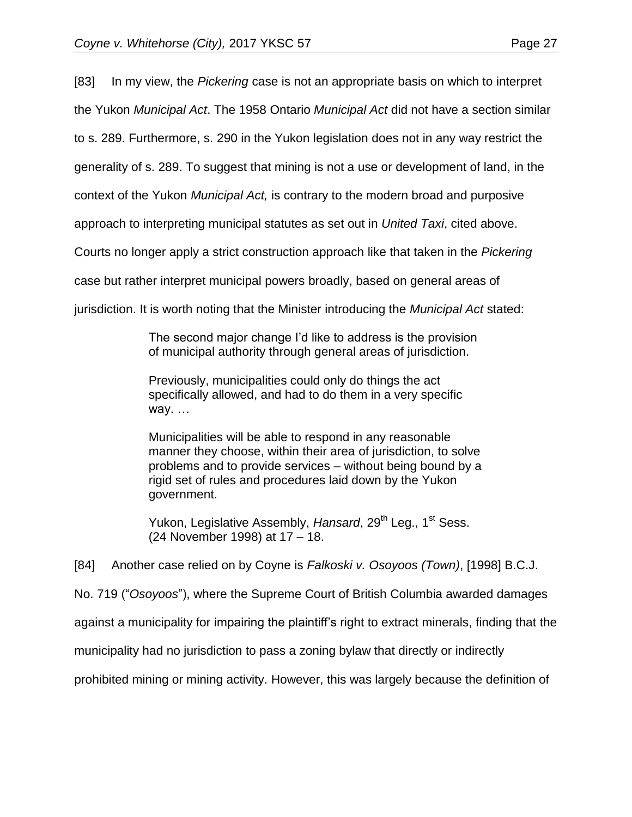[83] In my view, the *Pickering* case is not an appropriate basis on which to interpret the Yukon *Municipal Act*. The 1958 Ontario *Municipal Act* did not have a section similar to s. 289. Furthermore, s. 290 in the Yukon legislation does not in any way restrict the

generality of s. 289. To suggest that mining is not a use or development of land, in the

context of the Yukon *Municipal Act,* is contrary to the modern broad and purposive

approach to interpreting municipal statutes as set out in *United Taxi*, cited above.

Courts no longer apply a strict construction approach like that taken in the *Pickering* 

case but rather interpret municipal powers broadly, based on general areas of

jurisdiction. It is worth noting that the Minister introducing the *Municipal Act* stated:

The second major change I'd like to address is the provision of municipal authority through general areas of jurisdiction.

Previously, municipalities could only do things the act specifically allowed, and had to do them in a very specific way. …

Municipalities will be able to respond in any reasonable manner they choose, within their area of jurisdiction, to solve problems and to provide services – without being bound by a rigid set of rules and procedures laid down by the Yukon government.

Yukon, Legislative Assembly, Hansard, 29<sup>th</sup> Leg., 1<sup>st</sup> Sess. (24 November 1998) at 17 – 18.

[84] Another case relied on by Coyne is *Falkoski v. Osoyoos (Town)*, [1998] B.C.J.

No. 719 ("*Osoyoos*"), where the Supreme Court of British Columbia awarded damages

against a municipality for impairing the plaintiff's right to extract minerals, finding that the

municipality had no jurisdiction to pass a zoning bylaw that directly or indirectly

prohibited mining or mining activity. However, this was largely because the definition of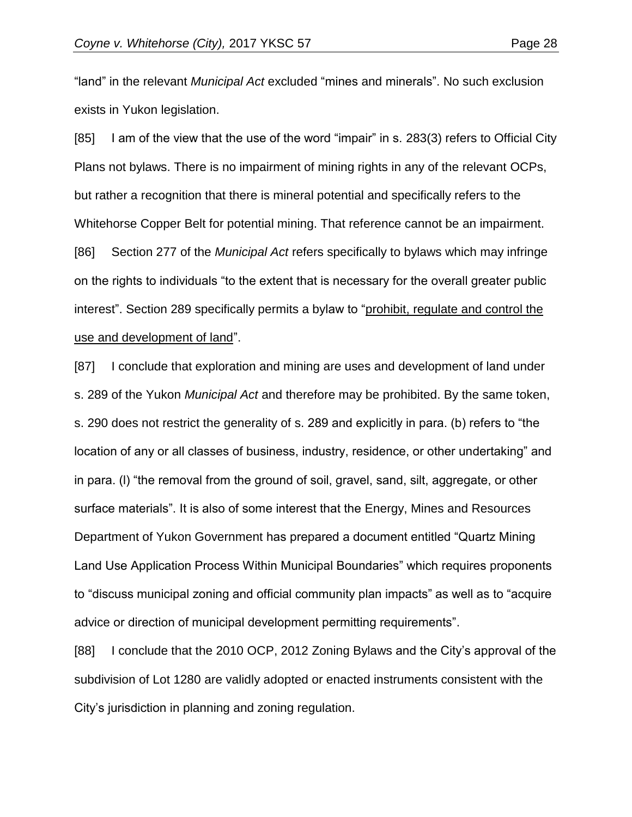"land" in the relevant *Municipal Act* excluded "mines and minerals". No such exclusion exists in Yukon legislation.

[85] I am of the view that the use of the word "impair" in s. 283(3) refers to Official City Plans not bylaws. There is no impairment of mining rights in any of the relevant OCPs, but rather a recognition that there is mineral potential and specifically refers to the Whitehorse Copper Belt for potential mining. That reference cannot be an impairment. [86] Section 277 of the *Municipal Act* refers specifically to bylaws which may infringe on the rights to individuals "to the extent that is necessary for the overall greater public interest". Section 289 specifically permits a bylaw to "prohibit, regulate and control the use and development of land".

[87] I conclude that exploration and mining are uses and development of land under s. 289 of the Yukon *Municipal Act* and therefore may be prohibited. By the same token, s. 290 does not restrict the generality of s. 289 and explicitly in para. (b) refers to "the location of any or all classes of business, industry, residence, or other undertaking" and in para. (l) "the removal from the ground of soil, gravel, sand, silt, aggregate, or other surface materials". It is also of some interest that the Energy, Mines and Resources Department of Yukon Government has prepared a document entitled "Quartz Mining Land Use Application Process Within Municipal Boundaries" which requires proponents to "discuss municipal zoning and official community plan impacts" as well as to "acquire advice or direction of municipal development permitting requirements".

[88] I conclude that the 2010 OCP, 2012 Zoning Bylaws and the City's approval of the subdivision of Lot 1280 are validly adopted or enacted instruments consistent with the City's jurisdiction in planning and zoning regulation.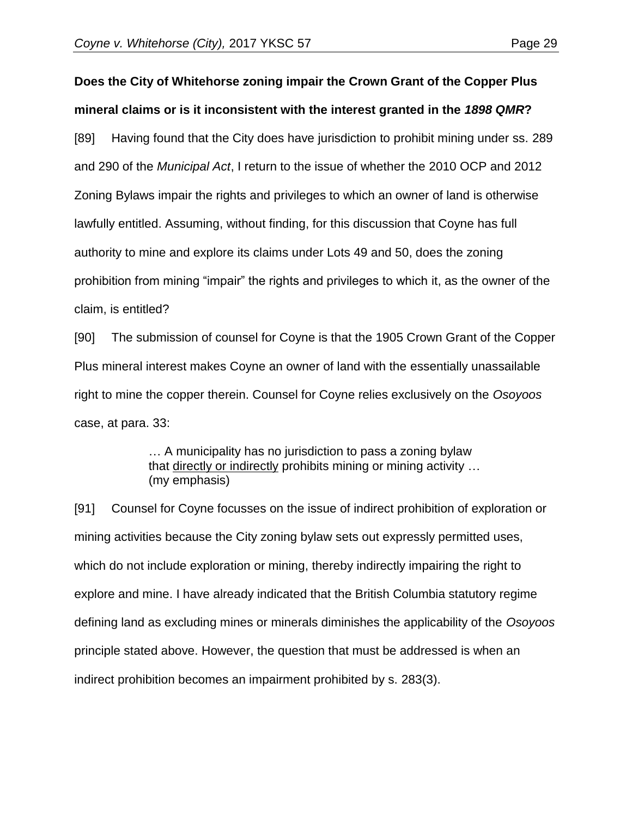# **Does the City of Whitehorse zoning impair the Crown Grant of the Copper Plus mineral claims or is it inconsistent with the interest granted in the** *1898 QMR***?**

[89] Having found that the City does have jurisdiction to prohibit mining under ss. 289 and 290 of the *Municipal Act*, I return to the issue of whether the 2010 OCP and 2012 Zoning Bylaws impair the rights and privileges to which an owner of land is otherwise lawfully entitled. Assuming, without finding, for this discussion that Coyne has full authority to mine and explore its claims under Lots 49 and 50, does the zoning prohibition from mining "impair" the rights and privileges to which it, as the owner of the claim, is entitled?

[90] The submission of counsel for Coyne is that the 1905 Crown Grant of the Copper Plus mineral interest makes Coyne an owner of land with the essentially unassailable right to mine the copper therein. Counsel for Coyne relies exclusively on the *Osoyoos* case, at para. 33:

> … A municipality has no jurisdiction to pass a zoning bylaw that directly or indirectly prohibits mining or mining activity … (my emphasis)

[91] Counsel for Coyne focusses on the issue of indirect prohibition of exploration or mining activities because the City zoning bylaw sets out expressly permitted uses, which do not include exploration or mining, thereby indirectly impairing the right to explore and mine. I have already indicated that the British Columbia statutory regime defining land as excluding mines or minerals diminishes the applicability of the *Osoyoos* principle stated above. However, the question that must be addressed is when an indirect prohibition becomes an impairment prohibited by s. 283(3).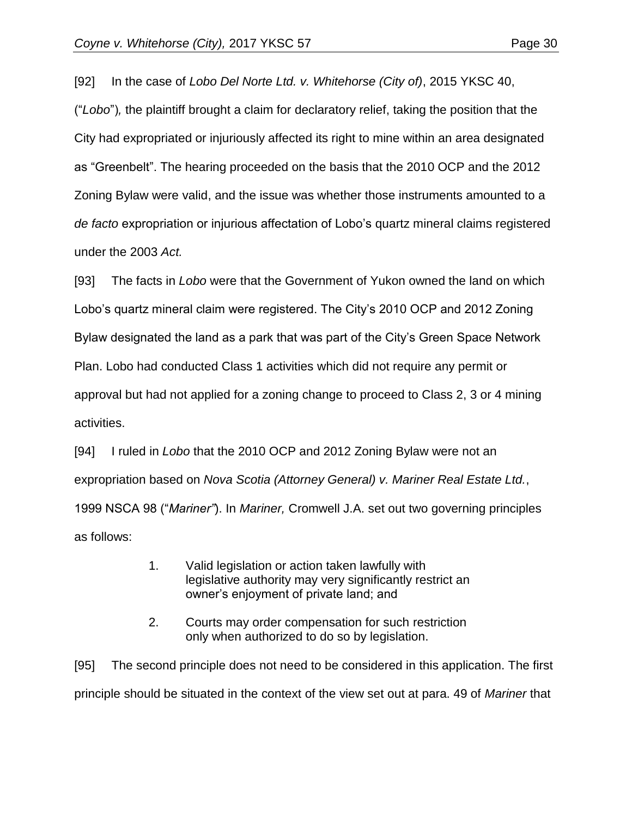[92] In the case of *Lobo Del Norte Ltd. v. Whitehorse (City of)*, 2015 YKSC 40, ("*Lobo*")*,* the plaintiff brought a claim for declaratory relief, taking the position that the City had expropriated or injuriously affected its right to mine within an area designated as "Greenbelt". The hearing proceeded on the basis that the 2010 OCP and the 2012 Zoning Bylaw were valid, and the issue was whether those instruments amounted to a *de facto* expropriation or injurious affectation of Lobo's quartz mineral claims registered under the 2003 *Act.*

[93] The facts in *Lobo* were that the Government of Yukon owned the land on which Lobo's quartz mineral claim were registered. The City's 2010 OCP and 2012 Zoning Bylaw designated the land as a park that was part of the City's Green Space Network Plan. Lobo had conducted Class 1 activities which did not require any permit or approval but had not applied for a zoning change to proceed to Class 2, 3 or 4 mining activities.

[94] I ruled in *Lobo* that the 2010 OCP and 2012 Zoning Bylaw were not an expropriation based on *Nova Scotia (Attorney General) v. Mariner Real Estate Ltd.*, 1999 NSCA 98 ("*Mariner"*). In *Mariner,* Cromwell J.A. set out two governing principles as follows:

- 1. Valid legislation or action taken lawfully with legislative authority may very significantly restrict an owner's enjoyment of private land; and
- 2. Courts may order compensation for such restriction only when authorized to do so by legislation.

[95] The second principle does not need to be considered in this application. The first principle should be situated in the context of the view set out at para. 49 of *Mariner* that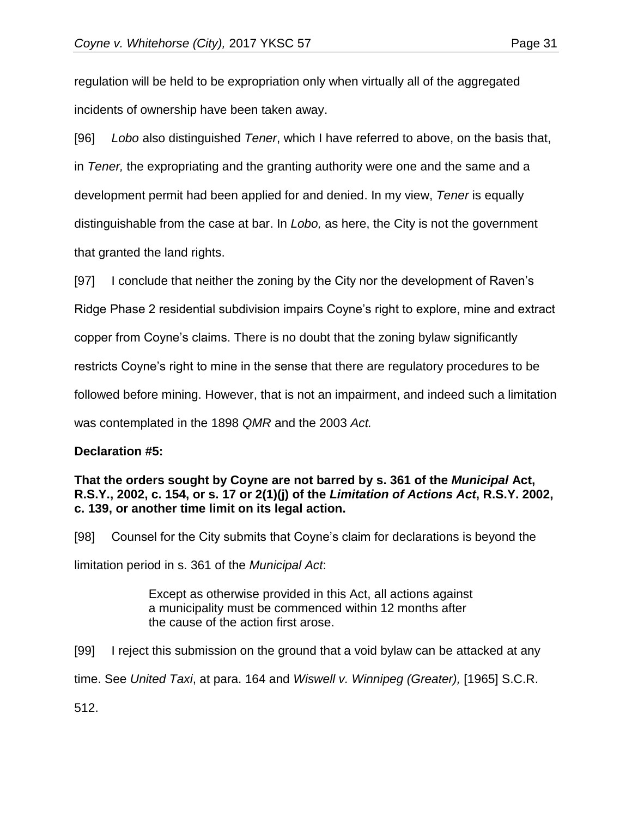regulation will be held to be expropriation only when virtually all of the aggregated incidents of ownership have been taken away.

[96] *Lobo* also distinguished *Tener*, which I have referred to above, on the basis that, in *Tener,* the expropriating and the granting authority were one and the same and a development permit had been applied for and denied. In my view, *Tener* is equally distinguishable from the case at bar. In *Lobo,* as here, the City is not the government that granted the land rights.

[97] I conclude that neither the zoning by the City nor the development of Raven's Ridge Phase 2 residential subdivision impairs Coyne's right to explore, mine and extract copper from Coyne's claims. There is no doubt that the zoning bylaw significantly restricts Coyne's right to mine in the sense that there are regulatory procedures to be followed before mining. However, that is not an impairment, and indeed such a limitation was contemplated in the 1898 *QMR* and the 2003 *Act.*

## **Declaration #5:**

#### **That the orders sought by Coyne are not barred by s. 361 of the** *Municipal* **Act, R.S.Y., 2002, c. 154, or s. 17 or 2(1)(j) of the** *Limitation of Actions Act***, R.S.Y. 2002, c. 139, or another time limit on its legal action.**

[98] Counsel for the City submits that Coyne's claim for declarations is beyond the limitation period in s. 361 of the *Municipal Act*:

> Except as otherwise provided in this Act, all actions against a municipality must be commenced within 12 months after the cause of the action first arose.

[99] I reject this submission on the ground that a void bylaw can be attacked at any time. See *United Taxi*, at para. 164 and *Wiswell v. Winnipeg (Greater),* [1965] S.C.R.

512.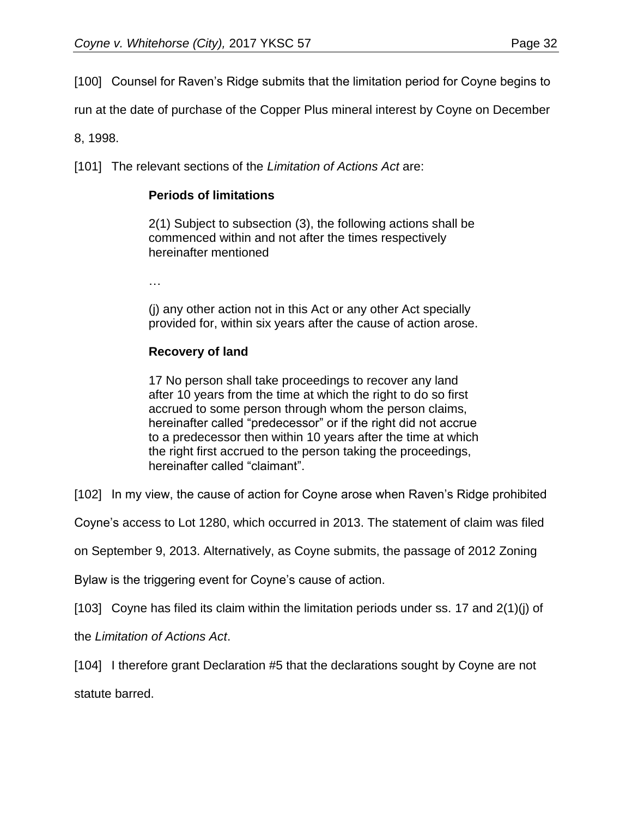[100] Counsel for Raven's Ridge submits that the limitation period for Coyne begins to

run at the date of purchase of the Copper Plus mineral interest by Coyne on December

8, 1998.

[101] The relevant sections of the *Limitation of Actions Act* are:

## **Periods of limitations**

2(1) Subject to subsection (3), the following actions shall be commenced within and not after the times respectively hereinafter mentioned

…

(j) any other action not in this Act or any other Act specially provided for, within six years after the cause of action arose.

## **Recovery of land**

17 No person shall take proceedings to recover any land after 10 years from the time at which the right to do so first accrued to some person through whom the person claims, hereinafter called "predecessor" or if the right did not accrue to a predecessor then within 10 years after the time at which the right first accrued to the person taking the proceedings, hereinafter called "claimant".

[102] In my view, the cause of action for Coyne arose when Raven's Ridge prohibited

Coyne's access to Lot 1280, which occurred in 2013. The statement of claim was filed

on September 9, 2013. Alternatively, as Coyne submits, the passage of 2012 Zoning

Bylaw is the triggering event for Coyne's cause of action.

[103] Coyne has filed its claim within the limitation periods under ss. 17 and 2(1)(j) of

the *Limitation of Actions Act*.

[104] I therefore grant Declaration #5 that the declarations sought by Coyne are not

statute barred.